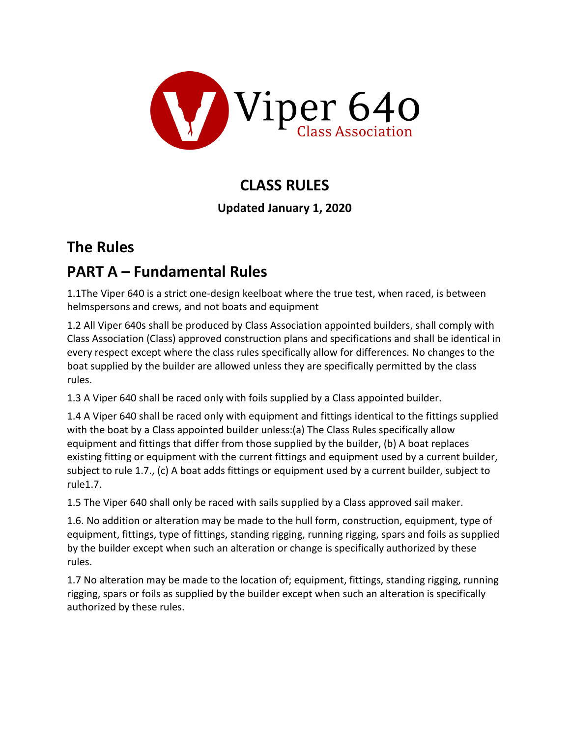

## **CLASS RULES**

## **Updated January 1, 2020**

## **The Rules**

## **PART A – Fundamental Rules**

1.1The Viper 640 is a strict one-design keelboat where the true test, when raced, is between helmspersons and crews, and not boats and equipment

1.2 All Viper 640s shall be produced by Class Association appointed builders, shall comply with Class Association (Class) approved construction plans and specifications and shall be identical in every respect except where the class rules specifically allow for differences. No changes to the boat supplied by the builder are allowed unless they are specifically permitted by the class rules.

1.3 A Viper 640 shall be raced only with foils supplied by a Class appointed builder.

1.4 A Viper 640 shall be raced only with equipment and fittings identical to the fittings supplied with the boat by a Class appointed builder unless:(a) The Class Rules specifically allow equipment and fittings that differ from those supplied by the builder, (b) A boat replaces existing fitting or equipment with the current fittings and equipment used by a current builder, subject to rule 1.7., (c) A boat adds fittings or equipment used by a current builder, subject to rule1.7.

1.5 The Viper 640 shall only be raced with sails supplied by a Class approved sail maker.

1.6. No addition or alteration may be made to the hull form, construction, equipment, type of equipment, fittings, type of fittings, standing rigging, running rigging, spars and foils as supplied by the builder except when such an alteration or change is specifically authorized by these rules.

1.7 No alteration may be made to the location of; equipment, fittings, standing rigging, running rigging, spars or foils as supplied by the builder except when such an alteration is specifically authorized by these rules.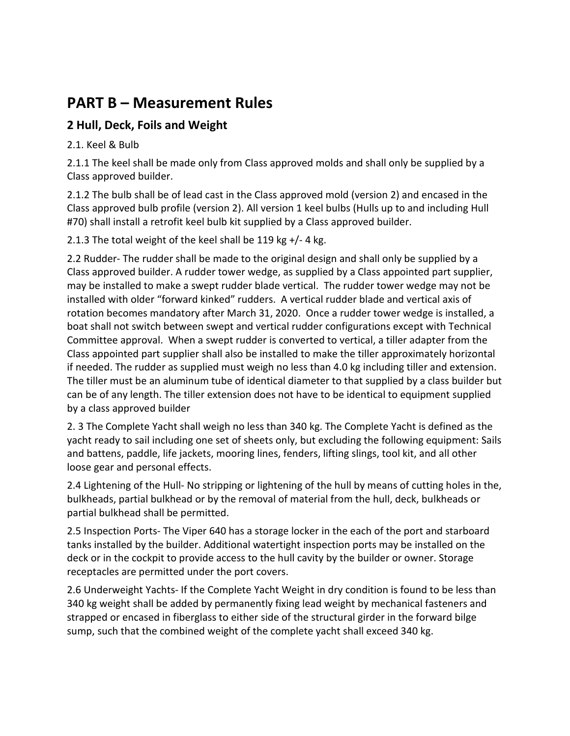## **PART B – Measurement Rules**

## **2 Hull, Deck, Foils and Weight**

2.1. Keel & Bulb

2.1.1 The keel shall be made only from Class approved molds and shall only be supplied by a Class approved builder.

2.1.2 The bulb shall be of lead cast in the Class approved mold (version 2) and encased in the Class approved bulb profile (version 2). All version 1 keel bulbs (Hulls up to and including Hull #70) shall install a retrofit keel bulb kit supplied by a Class approved builder.

2.1.3 The total weight of the keel shall be 119 kg +/- 4 kg.

2.2 Rudder- The rudder shall be made to the original design and shall only be supplied by a Class approved builder. A rudder tower wedge, as supplied by a Class appointed part supplier, may be installed to make a swept rudder blade vertical. The rudder tower wedge may not be installed with older "forward kinked" rudders. A vertical rudder blade and vertical axis of rotation becomes mandatory after March 31, 2020. Once a rudder tower wedge is installed, a boat shall not switch between swept and vertical rudder configurations except with Technical Committee approval. When a swept rudder is converted to vertical, a tiller adapter from the Class appointed part supplier shall also be installed to make the tiller approximately horizontal if needed. The rudder as supplied must weigh no less than 4.0 kg including tiller and extension. The tiller must be an aluminum tube of identical diameter to that supplied by a class builder but can be of any length. The tiller extension does not have to be identical to equipment supplied by a class approved builder

2. 3 The Complete Yacht shall weigh no less than 340 kg. The Complete Yacht is defined as the yacht ready to sail including one set of sheets only, but excluding the following equipment: Sails and battens, paddle, life jackets, mooring lines, fenders, lifting slings, tool kit, and all other loose gear and personal effects.

2.4 Lightening of the Hull- No stripping or lightening of the hull by means of cutting holes in the, bulkheads, partial bulkhead or by the removal of material from the hull, deck, bulkheads or partial bulkhead shall be permitted.

2.5 Inspection Ports- The Viper 640 has a storage locker in the each of the port and starboard tanks installed by the builder. Additional watertight inspection ports may be installed on the deck or in the cockpit to provide access to the hull cavity by the builder or owner. Storage receptacles are permitted under the port covers.

2.6 Underweight Yachts- If the Complete Yacht Weight in dry condition is found to be less than 340 kg weight shall be added by permanently fixing lead weight by mechanical fasteners and strapped or encased in fiberglass to either side of the structural girder in the forward bilge sump, such that the combined weight of the complete yacht shall exceed 340 kg.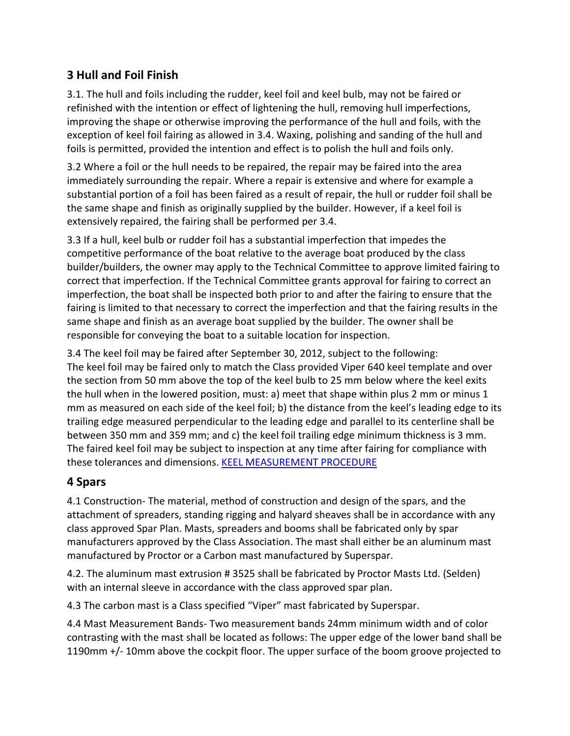## **3 Hull and Foil Finish**

3.1. The hull and foils including the rudder, keel foil and keel bulb, may not be faired or refinished with the intention or effect of lightening the hull, removing hull imperfections, improving the shape or otherwise improving the performance of the hull and foils, with the exception of keel foil fairing as allowed in 3.4. Waxing, polishing and sanding of the hull and foils is permitted, provided the intention and effect is to polish the hull and foils only.

3.2 Where a foil or the hull needs to be repaired, the repair may be faired into the area immediately surrounding the repair. Where a repair is extensive and where for example a substantial portion of a foil has been faired as a result of repair, the hull or rudder foil shall be the same shape and finish as originally supplied by the builder. However, if a keel foil is extensively repaired, the fairing shall be performed per 3.4.

3.3 If a hull, keel bulb or rudder foil has a substantial imperfection that impedes the competitive performance of the boat relative to the average boat produced by the class builder/builders, the owner may apply to the Technical Committee to approve limited fairing to correct that imperfection. If the Technical Committee grants approval for fairing to correct an imperfection, the boat shall be inspected both prior to and after the fairing to ensure that the fairing is limited to that necessary to correct the imperfection and that the fairing results in the same shape and finish as an average boat supplied by the builder. The owner shall be responsible for conveying the boat to a suitable location for inspection.

3.4 The keel foil may be faired after September 30, 2012, subject to the following: The keel foil may be faired only to match the Class provided Viper 640 keel template and over the section from 50 mm above the top of the keel bulb to 25 mm below where the keel exits the hull when in the lowered position, must: a) meet that shape within plus 2 mm or minus 1 mm as measured on each side of the keel foil; b) the distance from the keel's leading edge to its trailing edge measured perpendicular to the leading edge and parallel to its centerline shall be between 350 mm and 359 mm; and c) the keel foil trailing edge minimum thickness is 3 mm. The faired keel foil may be subject to inspection at any time after fairing for compliance with these tolerances and dimensions. [KEEL MEASUREMENT PROCEDURE](https://www.viper640.org/wp-content/uploads/2019/07/Viper-640-Class-Keel-Measurement-Procedure-July-2019.pdf)

## **4 Spars**

4.1 Construction- The material, method of construction and design of the spars, and the attachment of spreaders, standing rigging and halyard sheaves shall be in accordance with any class approved Spar Plan. Masts, spreaders and booms shall be fabricated only by spar manufacturers approved by the Class Association. The mast shall either be an aluminum mast manufactured by Proctor or a Carbon mast manufactured by Superspar.

4.2. The aluminum mast extrusion # 3525 shall be fabricated by Proctor Masts Ltd. (Selden) with an internal sleeve in accordance with the class approved spar plan.

4.3 The carbon mast is a Class specified "Viper" mast fabricated by Superspar.

4.4 Mast Measurement Bands- Two measurement bands 24mm minimum width and of color contrasting with the mast shall be located as follows: The upper edge of the lower band shall be 1190mm +/- 10mm above the cockpit floor. The upper surface of the boom groove projected to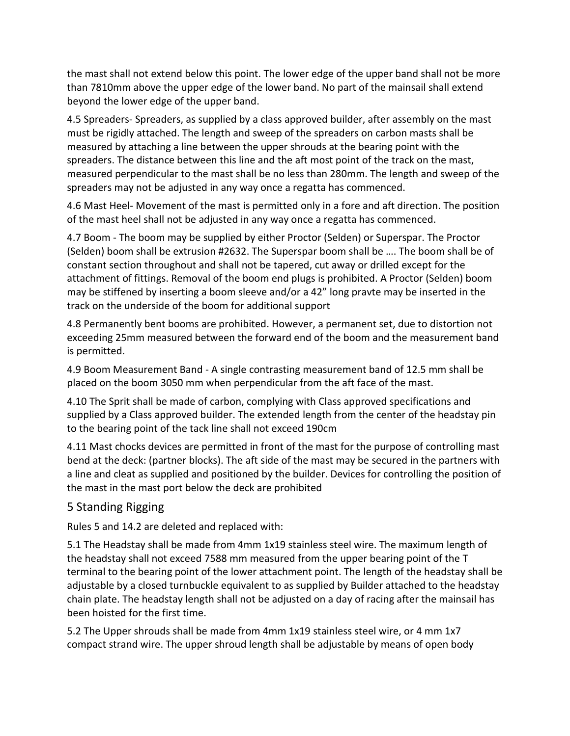the mast shall not extend below this point. The lower edge of the upper band shall not be more than 7810mm above the upper edge of the lower band. No part of the mainsail shall extend beyond the lower edge of the upper band.

4.5 Spreaders- Spreaders, as supplied by a class approved builder, after assembly on the mast must be rigidly attached. The length and sweep of the spreaders on carbon masts shall be measured by attaching a line between the upper shrouds at the bearing point with the spreaders. The distance between this line and the aft most point of the track on the mast, measured perpendicular to the mast shall be no less than 280mm. The length and sweep of the spreaders may not be adjusted in any way once a regatta has commenced.

4.6 Mast Heel- Movement of the mast is permitted only in a fore and aft direction. The position of the mast heel shall not be adjusted in any way once a regatta has commenced.

4.7 Boom - The boom may be supplied by either Proctor (Selden) or Superspar. The Proctor (Selden) boom shall be extrusion #2632. The Superspar boom shall be …. The boom shall be of constant section throughout and shall not be tapered, cut away or drilled except for the attachment of fittings. Removal of the boom end plugs is prohibited. A Proctor (Selden) boom may be stiffened by inserting a boom sleeve and/or a 42" long pravte may be inserted in the track on the underside of the boom for additional support

4.8 Permanently bent booms are prohibited. However, a permanent set, due to distortion not exceeding 25mm measured between the forward end of the boom and the measurement band is permitted.

4.9 Boom Measurement Band - A single contrasting measurement band of 12.5 mm shall be placed on the boom 3050 mm when perpendicular from the aft face of the mast.

4.10 The Sprit shall be made of carbon, complying with Class approved specifications and supplied by a Class approved builder. The extended length from the center of the headstay pin to the bearing point of the tack line shall not exceed 190cm

4.11 Mast chocks devices are permitted in front of the mast for the purpose of controlling mast bend at the deck: (partner blocks). The aft side of the mast may be secured in the partners with a line and cleat as supplied and positioned by the builder. Devices for controlling the position of the mast in the mast port below the deck are prohibited

### 5 Standing Rigging

Rules 5 and 14.2 are deleted and replaced with:

5.1 The Headstay shall be made from 4mm 1x19 stainless steel wire. The maximum length of the headstay shall not exceed 7588 mm measured from the upper bearing point of the T terminal to the bearing point of the lower attachment point. The length of the headstay shall be adjustable by a closed turnbuckle equivalent to as supplied by Builder attached to the headstay chain plate. The headstay length shall not be adjusted on a day of racing after the mainsail has been hoisted for the first time.

5.2 The Upper shrouds shall be made from 4mm 1x19 stainless steel wire, or 4 mm 1x7 compact strand wire. The upper shroud length shall be adjustable by means of open body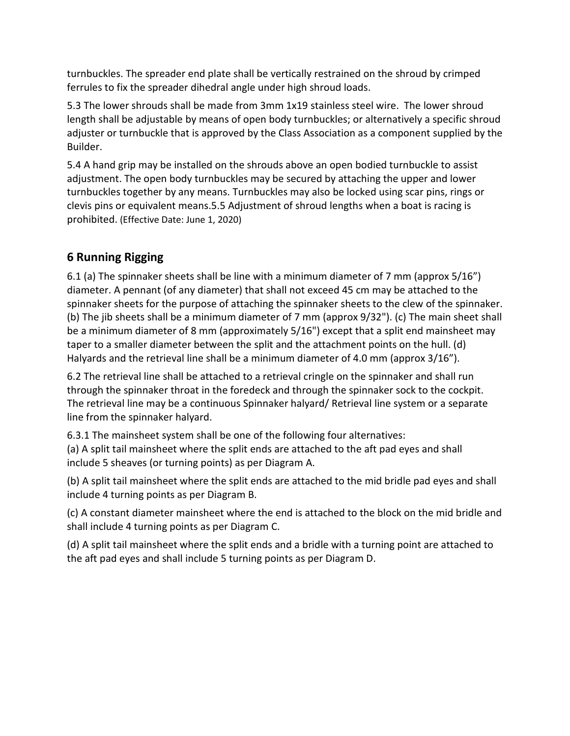turnbuckles. The spreader end plate shall be vertically restrained on the shroud by crimped ferrules to fix the spreader dihedral angle under high shroud loads.

5.3 The lower shrouds shall be made from 3mm 1x19 stainless steel wire. The lower shroud length shall be adjustable by means of open body turnbuckles; or alternatively a specific shroud adjuster or turnbuckle that is approved by the Class Association as a component supplied by the Builder.

5.4 A hand grip may be installed on the shrouds above an open bodied turnbuckle to assist adjustment. The open body turnbuckles may be secured by attaching the upper and lower turnbuckles together by any means. Turnbuckles may also be locked using scar pins, rings or clevis pins or equivalent means.5.5 Adjustment of shroud lengths when a boat is racing is prohibited. (Effective Date: June 1, 2020)

## **6 Running Rigging**

6.1 (a) The spinnaker sheets shall be line with a minimum diameter of 7 mm (approx 5/16") diameter. A pennant (of any diameter) that shall not exceed 45 cm may be attached to the spinnaker sheets for the purpose of attaching the spinnaker sheets to the clew of the spinnaker. (b) The jib sheets shall be a minimum diameter of 7 mm (approx 9/32"). (c) The main sheet shall be a minimum diameter of 8 mm (approximately 5/16") except that a split end mainsheet may taper to a smaller diameter between the split and the attachment points on the hull. (d) Halyards and the retrieval line shall be a minimum diameter of 4.0 mm (approx 3/16").

6.2 The retrieval line shall be attached to a retrieval cringle on the spinnaker and shall run through the spinnaker throat in the foredeck and through the spinnaker sock to the cockpit. The retrieval line may be a continuous Spinnaker halyard/ Retrieval line system or a separate line from the spinnaker halyard.

6.3.1 The mainsheet system shall be one of the following four alternatives:

(a) A split tail mainsheet where the split ends are attached to the aft pad eyes and shall include 5 sheaves (or turning points) as per Diagram A.

(b) A split tail mainsheet where the split ends are attached to the mid bridle pad eyes and shall include 4 turning points as per Diagram B.

(c) A constant diameter mainsheet where the end is attached to the block on the mid bridle and shall include 4 turning points as per Diagram C.

(d) A split tail mainsheet where the split ends and a bridle with a turning point are attached to the aft pad eyes and shall include 5 turning points as per Diagram D.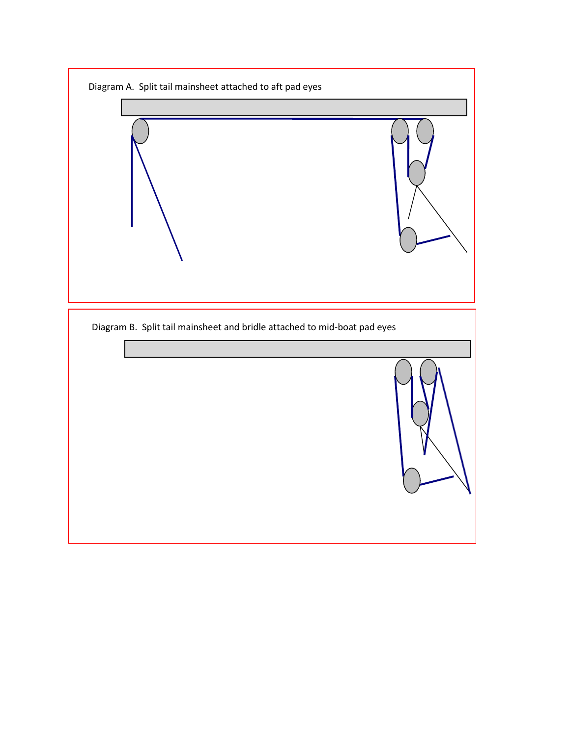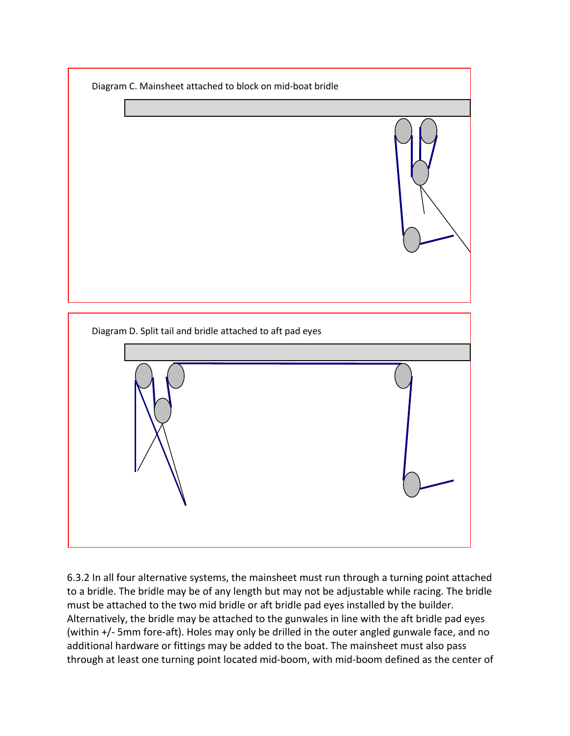

6.3.2 In all four alternative systems, the mainsheet must run through a turning point attached to a bridle. The bridle may be of any length but may not be adjustable while racing. The bridle must be attached to the two mid bridle or aft bridle pad eyes installed by the builder. Alternatively, the bridle may be attached to the gunwales in line with the aft bridle pad eyes (within +/- 5mm fore-aft). Holes may only be drilled in the outer angled gunwale face, and no additional hardware or fittings may be added to the boat. The mainsheet must also pass through at least one turning point located mid-boom, with mid-boom defined as the center of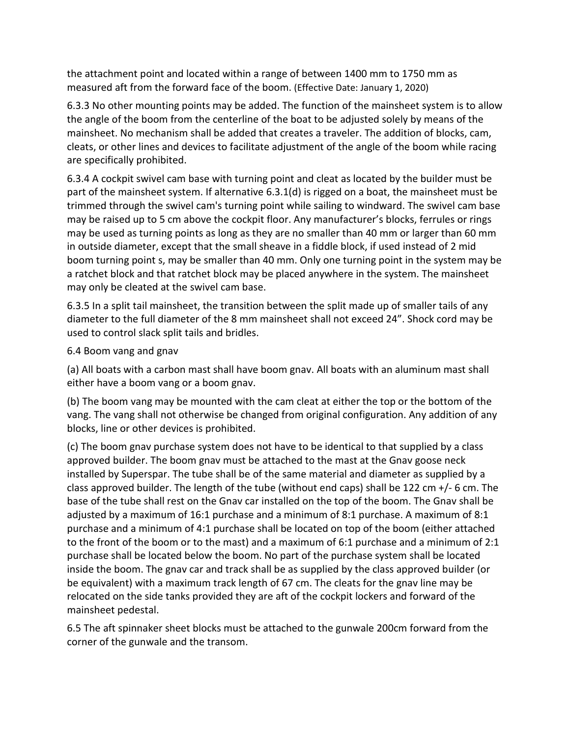the attachment point and located within a range of between 1400 mm to 1750 mm as measured aft from the forward face of the boom. (Effective Date: January 1, 2020)

6.3.3 No other mounting points may be added. The function of the mainsheet system is to allow the angle of the boom from the centerline of the boat to be adjusted solely by means of the mainsheet. No mechanism shall be added that creates a traveler. The addition of blocks, cam, cleats, or other lines and devices to facilitate adjustment of the angle of the boom while racing are specifically prohibited.

6.3.4 A cockpit swivel cam base with turning point and cleat as located by the builder must be part of the mainsheet system. If alternative 6.3.1(d) is rigged on a boat, the mainsheet must be trimmed through the swivel cam's turning point while sailing to windward. The swivel cam base may be raised up to 5 cm above the cockpit floor. Any manufacturer's blocks, ferrules or rings may be used as turning points as long as they are no smaller than 40 mm or larger than 60 mm in outside diameter, except that the small sheave in a fiddle block, if used instead of 2 mid boom turning point s, may be smaller than 40 mm. Only one turning point in the system may be a ratchet block and that ratchet block may be placed anywhere in the system. The mainsheet may only be cleated at the swivel cam base.

6.3.5 In a split tail mainsheet, the transition between the split made up of smaller tails of any diameter to the full diameter of the 8 mm mainsheet shall not exceed 24". Shock cord may be used to control slack split tails and bridles.

#### 6.4 Boom vang and gnav

(a) All boats with a carbon mast shall have boom gnav. All boats with an aluminum mast shall either have a boom vang or a boom gnav.

(b) The boom vang may be mounted with the cam cleat at either the top or the bottom of the vang. The vang shall not otherwise be changed from original configuration. Any addition of any blocks, line or other devices is prohibited.

(c) The boom gnav purchase system does not have to be identical to that supplied by a class approved builder. The boom gnav must be attached to the mast at the Gnav goose neck installed by Superspar. The tube shall be of the same material and diameter as supplied by a class approved builder. The length of the tube (without end caps) shall be 122 cm  $+/-$  6 cm. The base of the tube shall rest on the Gnav car installed on the top of the boom. The Gnav shall be adjusted by a maximum of 16:1 purchase and a minimum of 8:1 purchase. A maximum of 8:1 purchase and a minimum of 4:1 purchase shall be located on top of the boom (either attached to the front of the boom or to the mast) and a maximum of 6:1 purchase and a minimum of 2:1 purchase shall be located below the boom. No part of the purchase system shall be located inside the boom. The gnav car and track shall be as supplied by the class approved builder (or be equivalent) with a maximum track length of 67 cm. The cleats for the gnav line may be relocated on the side tanks provided they are aft of the cockpit lockers and forward of the mainsheet pedestal.

6.5 The aft spinnaker sheet blocks must be attached to the gunwale 200cm forward from the corner of the gunwale and the transom.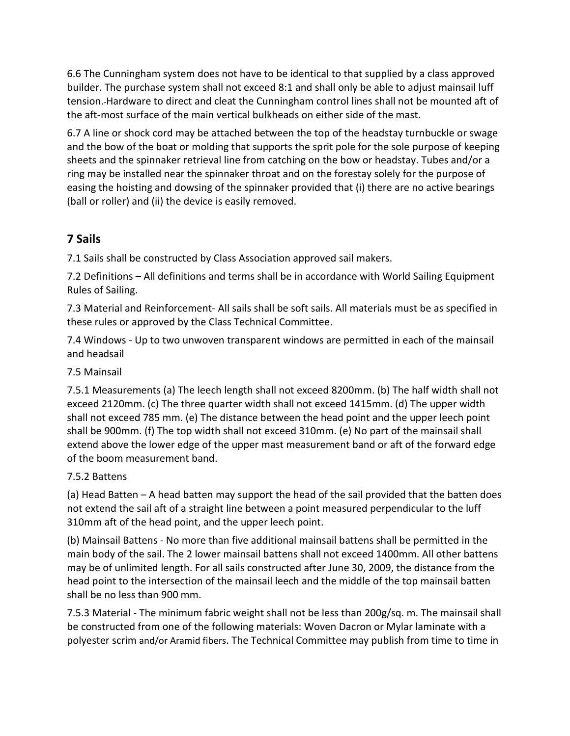6.6 The Cunningham system does not have to be identical to that supplied by a class approved builder. The purchase system shall not exceed 8:1 and shall only be able to adjust mainsail luff tension. Hardware to direct and cleat the Cunningham control lines shall not be mounted aft of the aft-most surface of the main vertical bulkheads on either side of the mast.

6.7 A line or shock cord may be attached between the top of the headstay turnbuckle or swage and the bow of the boat or molding that supports the sprit pole for the sole purpose of keeping sheets and the spinnaker retrieval line from catching on the bow or headstay. Tubes and/or a ring may be installed near the spinnaker throat and on the forestay solely for the purpose of easing the hoisting and dowsing of the spinnaker provided that (i) there are no active bearings (ball or roller) and (ii) the device is easily removed.

## **7 Sails**

7.1 Sails shall be constructed by Class Association approved sail makers.

7.2 Definitions – All definitions and terms shall be in accordance with World Sailing Equipment Rules of Sailing.

7.3 Material and Reinforcement- All sails shall be soft sails. All materials must be as specified in these rules or approved by the Class Technical Committee.

7.4 Windows - Up to two unwoven transparent windows are permitted in each of the mainsail and headsail

#### 7.5 Mainsail

7.5.1 Measurements (a) The leech length shall not exceed 8200mm. (b) The half width shall not exceed 2120mm. (c) The three quarter width shall not exceed 1415mm. (d) The upper width shall not exceed 785 mm. (e) The distance between the head point and the upper leech point shall be 900mm. (f) The top width shall not exceed 310mm. (e) No part of the mainsail shall extend above the lower edge of the upper mast measurement band or aft of the forward edge of the boom measurement band.

#### 7.5.2 Battens

(a) Head Batten – A head batten may support the head of the sail provided that the batten does not extend the sail aft of a straight line between a point measured perpendicular to the luff 310mm aft of the head point, and the upper leech point.

(b) Mainsail Battens - No more than five additional mainsail battens shall be permitted in the main body of the sail. The 2 lower mainsail battens shall not exceed 1400mm. All other battens may be of unlimited length. For all sails constructed after June 30, 2009, the distance from the head point to the intersection of the mainsail leech and the middle of the top mainsail batten shall be no less than 900 mm.

7.5.3 Material - The minimum fabric weight shall not be less than 200g/sq. m. The mainsail shall be constructed from one of the following materials: Woven Dacron or Mylar laminate with a polyester scrim and/or Aramid fibers. The Technical Committee may publish from time to time in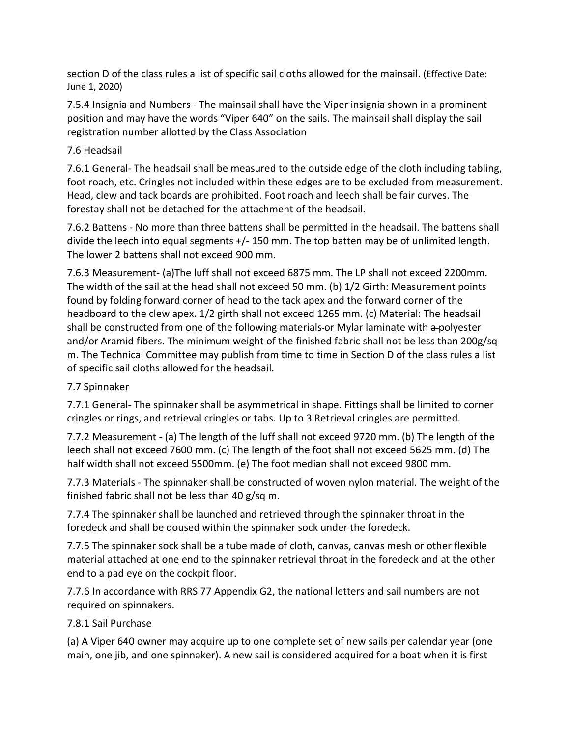section D of the class rules a list of specific sail cloths allowed for the mainsail. (Effective Date: June 1, 2020)

7.5.4 Insignia and Numbers - The mainsail shall have the Viper insignia shown in a prominent position and may have the words "Viper 640" on the sails. The mainsail shall display the sail registration number allotted by the Class Association

#### 7.6 Headsail

7.6.1 General- The headsail shall be measured to the outside edge of the cloth including tabling, foot roach, etc. Cringles not included within these edges are to be excluded from measurement. Head, clew and tack boards are prohibited. Foot roach and leech shall be fair curves. The forestay shall not be detached for the attachment of the headsail.

7.6.2 Battens - No more than three battens shall be permitted in the headsail. The battens shall divide the leech into equal segments +/- 150 mm. The top batten may be of unlimited length. The lower 2 battens shall not exceed 900 mm.

7.6.3 Measurement- (a)The luff shall not exceed 6875 mm. The LP shall not exceed 2200mm. The width of the sail at the head shall not exceed 50 mm. (b) 1/2 Girth: Measurement points found by folding forward corner of head to the tack apex and the forward corner of the headboard to the clew apex. 1/2 girth shall not exceed 1265 mm. (c) Material: The headsail shall be constructed from one of the following materials-or Mylar laminate with a-polyester and/or Aramid fibers. The minimum weight of the finished fabric shall not be less than 200g/sq m. The Technical Committee may publish from time to time in Section D of the class rules a list of specific sail cloths allowed for the headsail.

#### 7.7 Spinnaker

7.7.1 General- The spinnaker shall be asymmetrical in shape. Fittings shall be limited to corner cringles or rings, and retrieval cringles or tabs. Up to 3 Retrieval cringles are permitted.

7.7.2 Measurement - (a) The length of the luff shall not exceed 9720 mm. (b) The length of the leech shall not exceed 7600 mm. (c) The length of the foot shall not exceed 5625 mm. (d) The half width shall not exceed 5500mm. (e) The foot median shall not exceed 9800 mm.

7.7.3 Materials - The spinnaker shall be constructed of woven nylon material. The weight of the finished fabric shall not be less than 40 g/sq m.

7.7.4 The spinnaker shall be launched and retrieved through the spinnaker throat in the foredeck and shall be doused within the spinnaker sock under the foredeck.

7.7.5 The spinnaker sock shall be a tube made of cloth, canvas, canvas mesh or other flexible material attached at one end to the spinnaker retrieval throat in the foredeck and at the other end to a pad eye on the cockpit floor.

7.7.6 In accordance with RRS 77 Appendix G2, the national letters and sail numbers are not required on spinnakers.

#### 7.8.1 Sail Purchase

(a) A Viper 640 owner may acquire up to one complete set of new sails per calendar year (one main, one jib, and one spinnaker). A new sail is considered acquired for a boat when it is first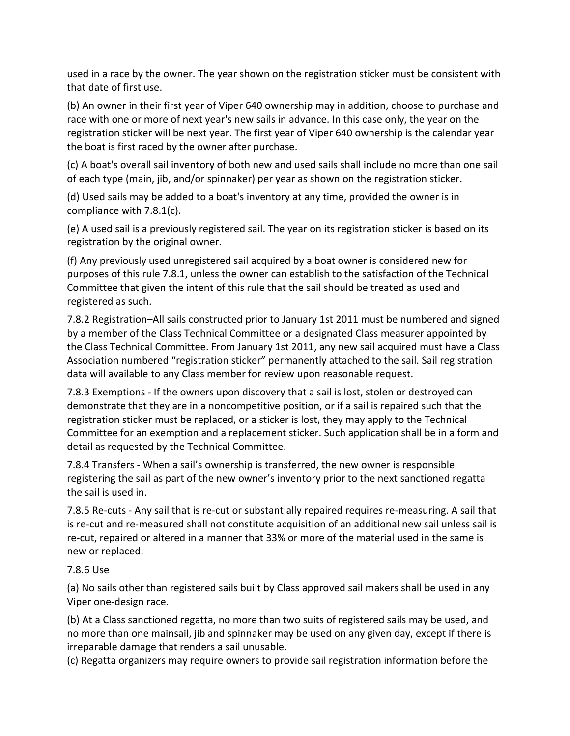used in a race by the owner. The year shown on the registration sticker must be consistent with that date of first use.

(b) An owner in their first year of Viper 640 ownership may in addition, choose to purchase and race with one or more of next year's new sails in advance. In this case only, the year on the registration sticker will be next year. The first year of Viper 640 ownership is the calendar year the boat is first raced by the owner after purchase.

(c) A boat's overall sail inventory of both new and used sails shall include no more than one sail of each type (main, jib, and/or spinnaker) per year as shown on the registration sticker.

(d) Used sails may be added to a boat's inventory at any time, provided the owner is in compliance with 7.8.1(c).

(e) A used sail is a previously registered sail. The year on its registration sticker is based on its registration by the original owner.

(f) Any previously used unregistered sail acquired by a boat owner is considered new for purposes of this rule 7.8.1, unless the owner can establish to the satisfaction of the Technical Committee that given the intent of this rule that the sail should be treated as used and registered as such.

7.8.2 Registration–All sails constructed prior to January 1st 2011 must be numbered and signed by a member of the Class Technical Committee or a designated Class measurer appointed by the Class Technical Committee. From January 1st 2011, any new sail acquired must have a Class Association numbered "registration sticker" permanently attached to the sail. Sail registration data will available to any Class member for review upon reasonable request.

7.8.3 Exemptions - If the owners upon discovery that a sail is lost, stolen or destroyed can demonstrate that they are in a noncompetitive position, or if a sail is repaired such that the registration sticker must be replaced, or a sticker is lost, they may apply to the Technical Committee for an exemption and a replacement sticker. Such application shall be in a form and detail as requested by the Technical Committee.

7.8.4 Transfers - When a sail's ownership is transferred, the new owner is responsible registering the sail as part of the new owner's inventory prior to the next sanctioned regatta the sail is used in.

7.8.5 Re-cuts - Any sail that is re-cut or substantially repaired requires re-measuring. A sail that is re-cut and re-measured shall not constitute acquisition of an additional new sail unless sail is re-cut, repaired or altered in a manner that 33% or more of the material used in the same is new or replaced.

#### 7.8.6 Use

(a) No sails other than registered sails built by Class approved sail makers shall be used in any Viper one-design race.

(b) At a Class sanctioned regatta, no more than two suits of registered sails may be used, and no more than one mainsail, jib and spinnaker may be used on any given day, except if there is irreparable damage that renders a sail unusable.

(c) Regatta organizers may require owners to provide sail registration information before the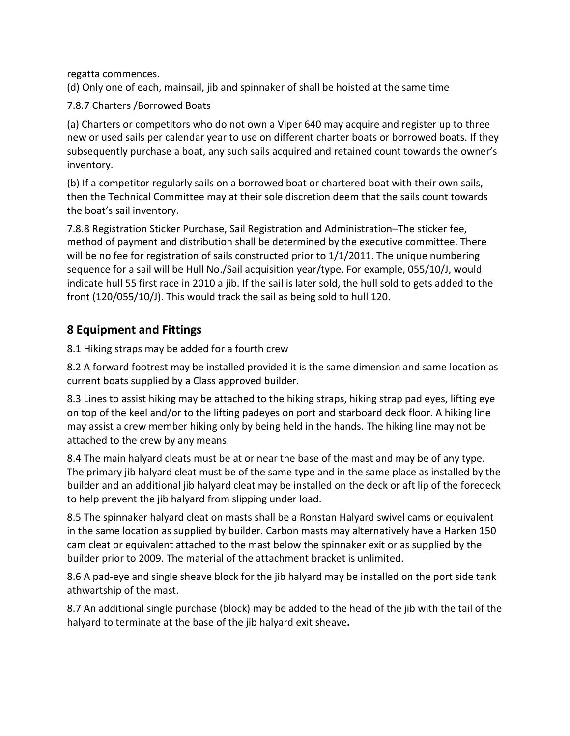regatta commences.

(d) Only one of each, mainsail, jib and spinnaker of shall be hoisted at the same time

7.8.7 Charters /Borrowed Boats

(a) Charters or competitors who do not own a Viper 640 may acquire and register up to three new or used sails per calendar year to use on different charter boats or borrowed boats. If they subsequently purchase a boat, any such sails acquired and retained count towards the owner's inventory.

(b) If a competitor regularly sails on a borrowed boat or chartered boat with their own sails, then the Technical Committee may at their sole discretion deem that the sails count towards the boat's sail inventory.

7.8.8 Registration Sticker Purchase, Sail Registration and Administration–The sticker fee, method of payment and distribution shall be determined by the executive committee. There will be no fee for registration of sails constructed prior to  $1/1/2011$ . The unique numbering sequence for a sail will be Hull No./Sail acquisition year/type. For example, 055/10/J, would indicate hull 55 first race in 2010 a jib. If the sail is later sold, the hull sold to gets added to the front (120/055/10/J). This would track the sail as being sold to hull 120.

### **8 Equipment and Fittings**

8.1 Hiking straps may be added for a fourth crew

8.2 A forward footrest may be installed provided it is the same dimension and same location as current boats supplied by a Class approved builder.

8.3 Lines to assist hiking may be attached to the hiking straps, hiking strap pad eyes, lifting eye on top of the keel and/or to the lifting padeyes on port and starboard deck floor. A hiking line may assist a crew member hiking only by being held in the hands. The hiking line may not be attached to the crew by any means.

8.4 The main halyard cleats must be at or near the base of the mast and may be of any type. The primary jib halyard cleat must be of the same type and in the same place as installed by the builder and an additional jib halyard cleat may be installed on the deck or aft lip of the foredeck to help prevent the jib halyard from slipping under load.

8.5 The spinnaker halyard cleat on masts shall be a Ronstan Halyard swivel cams or equivalent in the same location as supplied by builder. Carbon masts may alternatively have a Harken 150 cam cleat or equivalent attached to the mast below the spinnaker exit or as supplied by the builder prior to 2009. The material of the attachment bracket is unlimited.

8.6 A pad-eye and single sheave block for the jib halyard may be installed on the port side tank athwartship of the mast.

8.7 An additional single purchase (block) may be added to the head of the jib with the tail of the halyard to terminate at the base of the jib halyard exit sheave**.**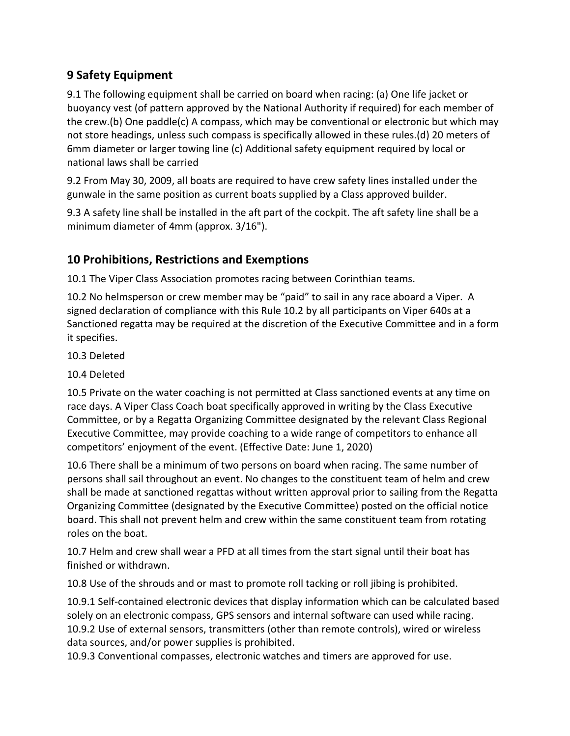## **9 Safety Equipment**

9.1 The following equipment shall be carried on board when racing: (a) One life jacket or buoyancy vest (of pattern approved by the National Authority if required) for each member of the crew.(b) One paddle(c) A compass, which may be conventional or electronic but which may not store headings, unless such compass is specifically allowed in these rules.(d) 20 meters of 6mm diameter or larger towing line (c) Additional safety equipment required by local or national laws shall be carried

9.2 From May 30, 2009, all boats are required to have crew safety lines installed under the gunwale in the same position as current boats supplied by a Class approved builder.

9.3 A safety line shall be installed in the aft part of the cockpit. The aft safety line shall be a minimum diameter of 4mm (approx. 3/16").

## **10 Prohibitions, Restrictions and Exemptions**

10.1 The Viper Class Association promotes racing between Corinthian teams.

10.2 No helmsperson or crew member may be "paid" to sail in any race aboard a Viper. A signed declaration of compliance with this Rule 10.2 by all participants on Viper 640s at a Sanctioned regatta may be required at the discretion of the Executive Committee and in a form it specifies.

10.3 Deleted

10.4 Deleted

10.5 Private on the water coaching is not permitted at Class sanctioned events at any time on race days. A Viper Class Coach boat specifically approved in writing by the Class Executive Committee, or by a Regatta Organizing Committee designated by the relevant Class Regional Executive Committee, may provide coaching to a wide range of competitors to enhance all competitors' enjoyment of the event. (Effective Date: June 1, 2020)

10.6 There shall be a minimum of two persons on board when racing. The same number of persons shall sail throughout an event. No changes to the constituent team of helm and crew shall be made at sanctioned regattas without written approval prior to sailing from the Regatta Organizing Committee (designated by the Executive Committee) posted on the official notice board. This shall not prevent helm and crew within the same constituent team from rotating roles on the boat.

10.7 Helm and crew shall wear a PFD at all times from the start signal until their boat has finished or withdrawn.

10.8 Use of the shrouds and or mast to promote roll tacking or roll jibing is prohibited.

10.9.1 Self-contained electronic devices that display information which can be calculated based solely on an electronic compass, GPS sensors and internal software can used while racing. 10.9.2 Use of external sensors, transmitters (other than remote controls), wired or wireless data sources, and/or power supplies is prohibited.

10.9.3 Conventional compasses, electronic watches and timers are approved for use.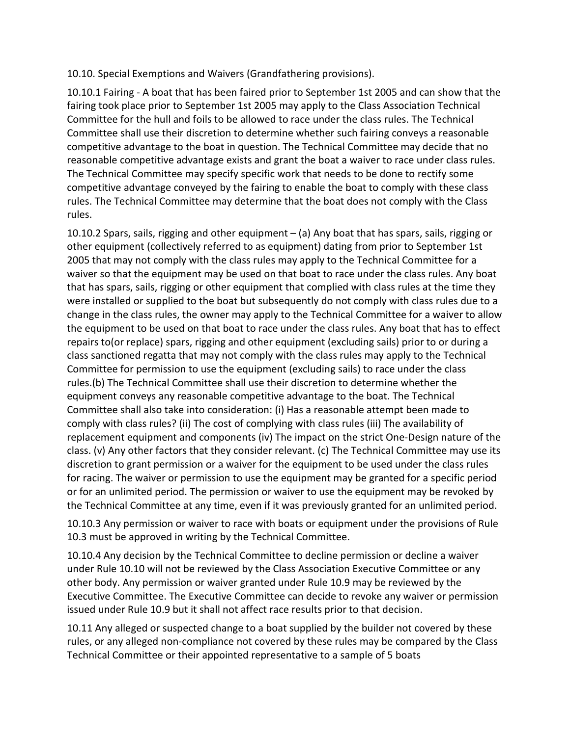#### 10.10. Special Exemptions and Waivers (Grandfathering provisions).

10.10.1 Fairing - A boat that has been faired prior to September 1st 2005 and can show that the fairing took place prior to September 1st 2005 may apply to the Class Association Technical Committee for the hull and foils to be allowed to race under the class rules. The Technical Committee shall use their discretion to determine whether such fairing conveys a reasonable competitive advantage to the boat in question. The Technical Committee may decide that no reasonable competitive advantage exists and grant the boat a waiver to race under class rules. The Technical Committee may specify specific work that needs to be done to rectify some competitive advantage conveyed by the fairing to enable the boat to comply with these class rules. The Technical Committee may determine that the boat does not comply with the Class rules.

10.10.2 Spars, sails, rigging and other equipment – (a) Any boat that has spars, sails, rigging or other equipment (collectively referred to as equipment) dating from prior to September 1st 2005 that may not comply with the class rules may apply to the Technical Committee for a waiver so that the equipment may be used on that boat to race under the class rules. Any boat that has spars, sails, rigging or other equipment that complied with class rules at the time they were installed or supplied to the boat but subsequently do not comply with class rules due to a change in the class rules, the owner may apply to the Technical Committee for a waiver to allow the equipment to be used on that boat to race under the class rules. Any boat that has to effect repairs to(or replace) spars, rigging and other equipment (excluding sails) prior to or during a class sanctioned regatta that may not comply with the class rules may apply to the Technical Committee for permission to use the equipment (excluding sails) to race under the class rules.(b) The Technical Committee shall use their discretion to determine whether the equipment conveys any reasonable competitive advantage to the boat. The Technical Committee shall also take into consideration: (i) Has a reasonable attempt been made to comply with class rules? (ii) The cost of complying with class rules (iii) The availability of replacement equipment and components (iv) The impact on the strict One-Design nature of the class. (v) Any other factors that they consider relevant. (c) The Technical Committee may use its discretion to grant permission or a waiver for the equipment to be used under the class rules for racing. The waiver or permission to use the equipment may be granted for a specific period or for an unlimited period. The permission or waiver to use the equipment may be revoked by the Technical Committee at any time, even if it was previously granted for an unlimited period.

10.10.3 Any permission or waiver to race with boats or equipment under the provisions of Rule 10.3 must be approved in writing by the Technical Committee.

10.10.4 Any decision by the Technical Committee to decline permission or decline a waiver under Rule 10.10 will not be reviewed by the Class Association Executive Committee or any other body. Any permission or waiver granted under Rule 10.9 may be reviewed by the Executive Committee. The Executive Committee can decide to revoke any waiver or permission issued under Rule 10.9 but it shall not affect race results prior to that decision.

10.11 Any alleged or suspected change to a boat supplied by the builder not covered by these rules, or any alleged non-compliance not covered by these rules may be compared by the Class Technical Committee or their appointed representative to a sample of 5 boats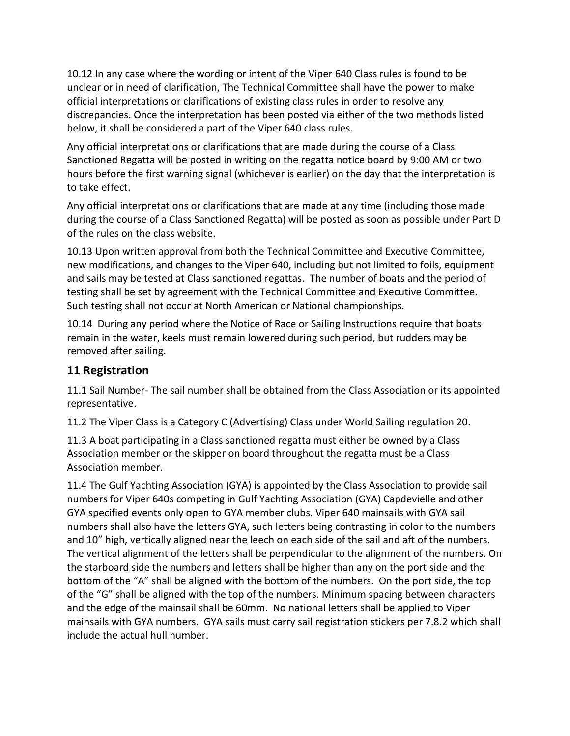10.12 In any case where the wording or intent of the Viper 640 Class rules is found to be unclear or in need of clarification, The Technical Committee shall have the power to make official interpretations or clarifications of existing class rules in order to resolve any discrepancies. Once the interpretation has been posted via either of the two methods listed below, it shall be considered a part of the Viper 640 class rules.

Any official interpretations or clarifications that are made during the course of a Class Sanctioned Regatta will be posted in writing on the regatta notice board by 9:00 AM or two hours before the first warning signal (whichever is earlier) on the day that the interpretation is to take effect.

Any official interpretations or clarifications that are made at any time (including those made during the course of a Class Sanctioned Regatta) will be posted as soon as possible under Part D of the rules on the class website.

10.13 Upon written approval from both the Technical Committee and Executive Committee, new modifications, and changes to the Viper 640, including but not limited to foils, equipment and sails may be tested at Class sanctioned regattas. The number of boats and the period of testing shall be set by agreement with the Technical Committee and Executive Committee. Such testing shall not occur at North American or National championships.

10.14 During any period where the Notice of Race or Sailing Instructions require that boats remain in the water, keels must remain lowered during such period, but rudders may be removed after sailing.

### **11 Registration**

11.1 Sail Number- The sail number shall be obtained from the Class Association or its appointed representative.

11.2 The Viper Class is a Category C (Advertising) Class under World Sailing regulation 20.

11.3 A boat participating in a Class sanctioned regatta must either be owned by a Class Association member or the skipper on board throughout the regatta must be a Class Association member.

11.4 The Gulf Yachting Association (GYA) is appointed by the Class Association to provide sail numbers for Viper 640s competing in Gulf Yachting Association (GYA) Capdevielle and other GYA specified events only open to GYA member clubs. Viper 640 mainsails with GYA sail numbers shall also have the letters GYA, such letters being contrasting in color to the numbers and 10" high, vertically aligned near the leech on each side of the sail and aft of the numbers. The vertical alignment of the letters shall be perpendicular to the alignment of the numbers. On the starboard side the numbers and letters shall be higher than any on the port side and the bottom of the "A" shall be aligned with the bottom of the numbers. On the port side, the top of the "G" shall be aligned with the top of the numbers. Minimum spacing between characters and the edge of the mainsail shall be 60mm. No national letters shall be applied to Viper mainsails with GYA numbers. GYA sails must carry sail registration stickers per 7.8.2 which shall include the actual hull number.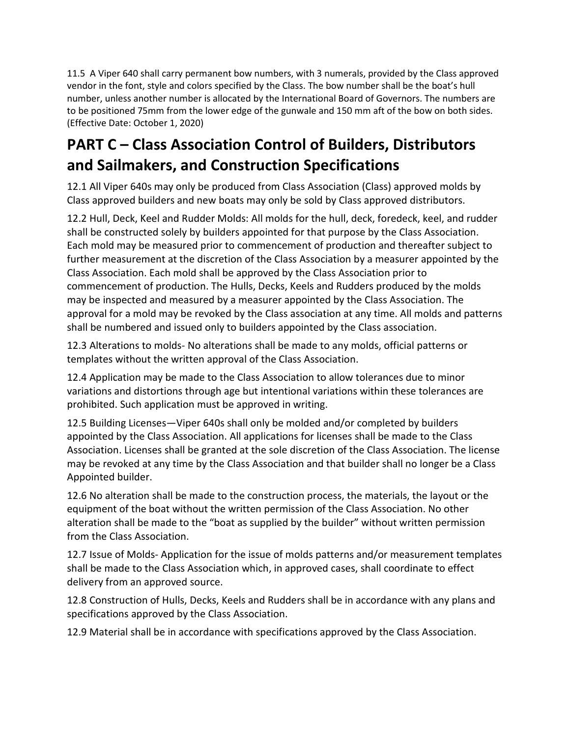11.5 A Viper 640 shall carry permanent bow numbers, with 3 numerals, provided by the Class approved vendor in the font, style and colors specified by the Class. The bow number shall be the boat's hull number, unless another number is allocated by the International Board of Governors. The numbers are to be positioned 75mm from the lower edge of the gunwale and 150 mm aft of the bow on both sides. (Effective Date: October 1, 2020)

# **PART C – Class Association Control of Builders, Distributors and Sailmakers, and Construction Specifications**

12.1 All Viper 640s may only be produced from Class Association (Class) approved molds by Class approved builders and new boats may only be sold by Class approved distributors.

12.2 Hull, Deck, Keel and Rudder Molds: All molds for the hull, deck, foredeck, keel, and rudder shall be constructed solely by builders appointed for that purpose by the Class Association. Each mold may be measured prior to commencement of production and thereafter subject to further measurement at the discretion of the Class Association by a measurer appointed by the Class Association. Each mold shall be approved by the Class Association prior to commencement of production. The Hulls, Decks, Keels and Rudders produced by the molds may be inspected and measured by a measurer appointed by the Class Association. The approval for a mold may be revoked by the Class association at any time. All molds and patterns shall be numbered and issued only to builders appointed by the Class association.

12.3 Alterations to molds- No alterations shall be made to any molds, official patterns or templates without the written approval of the Class Association.

12.4 Application may be made to the Class Association to allow tolerances due to minor variations and distortions through age but intentional variations within these tolerances are prohibited. Such application must be approved in writing.

12.5 Building Licenses—Viper 640s shall only be molded and/or completed by builders appointed by the Class Association. All applications for licenses shall be made to the Class Association. Licenses shall be granted at the sole discretion of the Class Association. The license may be revoked at any time by the Class Association and that builder shall no longer be a Class Appointed builder.

12.6 No alteration shall be made to the construction process, the materials, the layout or the equipment of the boat without the written permission of the Class Association. No other alteration shall be made to the "boat as supplied by the builder" without written permission from the Class Association.

12.7 Issue of Molds- Application for the issue of molds patterns and/or measurement templates shall be made to the Class Association which, in approved cases, shall coordinate to effect delivery from an approved source.

12.8 Construction of Hulls, Decks, Keels and Rudders shall be in accordance with any plans and specifications approved by the Class Association.

12.9 Material shall be in accordance with specifications approved by the Class Association.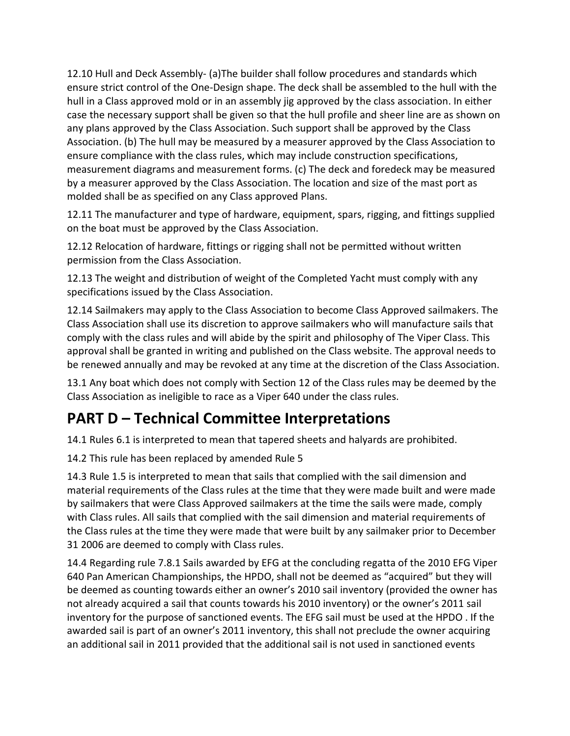12.10 Hull and Deck Assembly- (a)The builder shall follow procedures and standards which ensure strict control of the One-Design shape. The deck shall be assembled to the hull with the hull in a Class approved mold or in an assembly jig approved by the class association. In either case the necessary support shall be given so that the hull profile and sheer line are as shown on any plans approved by the Class Association. Such support shall be approved by the Class Association. (b) The hull may be measured by a measurer approved by the Class Association to ensure compliance with the class rules, which may include construction specifications, measurement diagrams and measurement forms. (c) The deck and foredeck may be measured by a measurer approved by the Class Association. The location and size of the mast port as molded shall be as specified on any Class approved Plans.

12.11 The manufacturer and type of hardware, equipment, spars, rigging, and fittings supplied on the boat must be approved by the Class Association.

12.12 Relocation of hardware, fittings or rigging shall not be permitted without written permission from the Class Association.

12.13 The weight and distribution of weight of the Completed Yacht must comply with any specifications issued by the Class Association.

12.14 Sailmakers may apply to the Class Association to become Class Approved sailmakers. The Class Association shall use its discretion to approve sailmakers who will manufacture sails that comply with the class rules and will abide by the spirit and philosophy of The Viper Class. This approval shall be granted in writing and published on the Class website. The approval needs to be renewed annually and may be revoked at any time at the discretion of the Class Association.

13.1 Any boat which does not comply with Section 12 of the Class rules may be deemed by the Class Association as ineligible to race as a Viper 640 under the class rules.

## **PART D – Technical Committee Interpretations**

14.1 Rules 6.1 is interpreted to mean that tapered sheets and halyards are prohibited.

14.2 This rule has been replaced by amended Rule 5

14.3 Rule 1.5 is interpreted to mean that sails that complied with the sail dimension and material requirements of the Class rules at the time that they were made built and were made by sailmakers that were Class Approved sailmakers at the time the sails were made, comply with Class rules. All sails that complied with the sail dimension and material requirements of the Class rules at the time they were made that were built by any sailmaker prior to December 31 2006 are deemed to comply with Class rules.

14.4 Regarding rule 7.8.1 Sails awarded by EFG at the concluding regatta of the 2010 EFG Viper 640 Pan American Championships, the HPDO, shall not be deemed as "acquired" but they will be deemed as counting towards either an owner's 2010 sail inventory (provided the owner has not already acquired a sail that counts towards his 2010 inventory) or the owner's 2011 sail inventory for the purpose of sanctioned events. The EFG sail must be used at the HPDO . If the awarded sail is part of an owner's 2011 inventory, this shall not preclude the owner acquiring an additional sail in 2011 provided that the additional sail is not used in sanctioned events